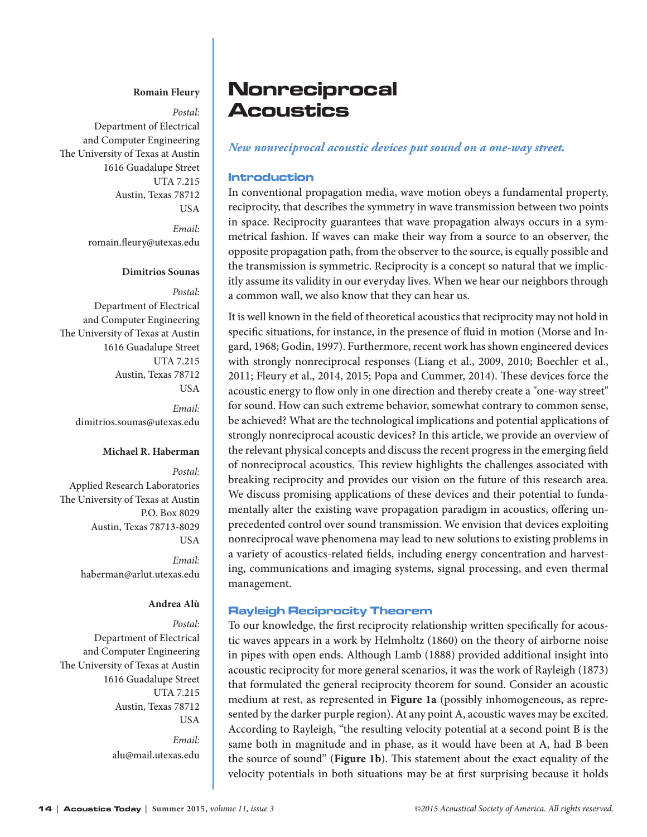### **Romain Fleury**

*Postal:*

Department of Electrical and Computer Engineering The University of Texas at Austin 1616 Guadalupe Street UTA 7.215 Austin, Texas 78712 USA

> *Email:* [romain.fleury@utexas.edu](mailto:romain.fleury@utexas.edu)

## **Dimitrios Sounas**

*Postal:* Department of Electrical and Computer Engineering The University of Texas at Austin 1616 Guadalupe Street UTA 7.215 Austin, Texas 78712 USA

> *Email:* [dimitrios.sounas@utexas.edu](mailto:dimitrios.sounas@utexas.edu)

#### **Michael R. Haberman**

*Postal:* Applied Research Laboratories The University of Texas at Austin P.O. Box 8029 Austin, Texas 78713-8029 USA

> *Email:* [haberman@arlut.utexas.edu](mailto:haberman@arlut.utexas.edu)

# **Andrea Alù**

*Postal:* Department of Electrical and Computer Engineering The University of Texas at Austin 1616 Guadalupe Street UTA 7.215 Austin, Texas 78712 USA

> *Email:* alu@mail.utexas.edu

# **Nonreciprocal Acoustics**

#### *New nonreciprocal acoustic devices put sound on a one-way street.*

#### Introduction

In conventional propagation media, wave motion obeys a fundamental property, reciprocity, that describes the symmetry in wave transmission between two points in space. Reciprocity guarantees that wave propagation always occurs in a symmetrical fashion. If waves can make their way from a source to an observer, the opposite propagation path, from the observer to the source, is equally possible and the transmission is symmetric. Reciprocity is a concept so natural that we implicitly assume its validity in our everyday lives. When we hear our neighbors through a common wall, we also know that they can hear us.

It is well known in the field of theoretical acoustics that reciprocity may not hold in specific situations, for instance, in the presence of fluid in motion (Morse and Ingard, 1968; Godin, 1997). Furthermore, recent work has shown engineered devices with strongly nonreciprocal responses (Liang et al., 2009, 2010; Boechler et al., 2011; Fleury et al., 2014, 2015; Popa and Cummer, 2014). These devices force the acoustic energy to flow only in one direction and thereby create a "one-way street" for sound. How can such extreme behavior, somewhat contrary to common sense, be achieved? What are the technological implications and potential applications of strongly nonreciprocal acoustic devices? In this article, we provide an overview of the relevant physical concepts and discuss the recent progress in the emerging field of nonreciprocal acoustics. This review highlights the challenges associated with breaking reciprocity and provides our vision on the future of this research area. We discuss promising applications of these devices and their potential to fundamentally alter the existing wave propagation paradigm in acoustics, offering unprecedented control over sound transmission. We envision that devices exploiting nonreciprocal wave phenomena may lead to new solutions to existing problems in a variety of acoustics-related fields, including energy concentration and harvesting, communications and imaging systems, signal processing, and even thermal management.

## Rayleigh Reciprocity Theorem

To our knowledge, the first reciprocity relationship written specifically for acoustic waves appears in a work by Helmholtz (1860) on the theory of airborne noise in pipes with open ends. Although Lamb (1888) provided additional insight into acoustic reciprocity for more general scenarios, it was the work of Rayleigh (1873) that formulated the general reciprocity theorem for sound. Consider an acoustic medium at rest, as represented in **Figure 1a** (possibly inhomogeneous, as represented by the darker purple region). At any point A, acoustic waves may be excited. According to Rayleigh, "the resulting velocity potential at a second point B is the same both in magnitude and in phase, as it would have been at A, had B been the source of sound" (**Figure 1b**). This statement about the exact equality of the velocity potentials in both situations may be at first surprising because it holds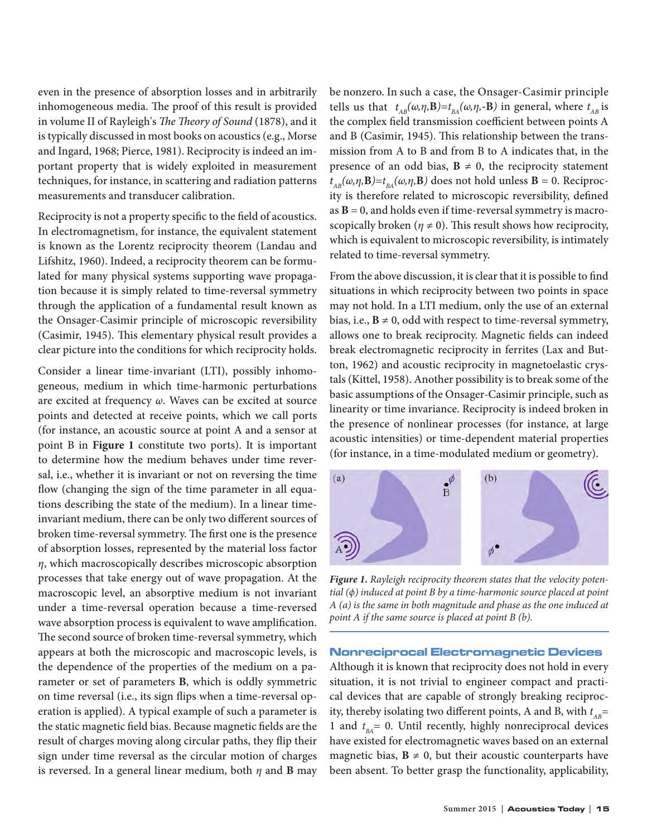even in the presence of absorption losses and in arbitrarily inhomogeneous media. The proof of this result is provided in volume II of Rayleigh's *The Theory of Sound* (1878), and it is typically discussed in most books on acoustics (e.g., Morse and Ingard, 1968; Pierce, 1981). Reciprocity is indeed an important property that is widely exploited in measurement techniques, for instance, in scattering and radiation patterns measurements and transducer calibration.

Reciprocity is not a property specific to the field of acoustics. In electromagnetism, for instance, the equivalent statement is known as the Lorentz reciprocity theorem (Landau and Lifshitz, 1960). Indeed, a reciprocity theorem can be formulated for many physical systems supporting wave propagation because it is simply related to time-reversal symmetry through the application of a fundamental result known as the Onsager-Casimir principle of microscopic reversibility (Casimir, 1945). This elementary physical result provides a clear picture into the conditions for which reciprocity holds.

Consider a linear time-invariant (LTI), possibly inhomogeneous, medium in which time-harmonic perturbations are excited at frequency *ω*. Waves can be excited at source points and detected at receive points, which we call ports (for instance, an acoustic source at point A and a sensor at point B in **Figure 1** constitute two ports). It is important to determine how the medium behaves under time reversal, i.e., whether it is invariant or not on reversing the time flow (changing the sign of the time parameter in all equations describing the state of the medium). In a linear timeinvariant medium, there can be only two different sources of broken time-reversal symmetry. The first one is the presence of absorption losses, represented by the material loss factor *η*, which macroscopically describes microscopic absorption processes that take energy out of wave propagation. At the macroscopic level, an absorptive medium is not invariant under a time-reversal operation because a time-reversed wave absorption process is equivalent to wave amplification. The second source of broken time-reversal symmetry, which appears at both the microscopic and macroscopic levels, is the dependence of the properties of the medium on a parameter or set of parameters **B**, which is oddly symmetric on time reversal (i.e., its sign flips when a time-reversal operation is applied). A typical example of such a parameter is the static magnetic field bias. Because magnetic fields are the result of charges moving along circular paths, they flip their sign under time reversal as the circular motion of charges is reversed. In a general linear medium, both *η* and **B** may

be nonzero. In such a case, the Onsager-Casimir principle tells us that  $t_{AB}(\omega, \eta, \mathbf{B}) = t_{BA}(\omega, \eta, -\mathbf{B})$  in general, where  $t_{AB}$  is the complex field transmission coefficient between points A and B (Casimir, 1945). This relationship between the transmission from A to B and from B to A indicates that, in the presence of an odd bias,  $B \neq 0$ , the reciprocity statement *t*<sub>ΔB</sub>(ω,η,**B**)= $t_{BA}$ (ω,η,**B**) does not hold unless **B** = 0. Reciprocity is therefore related to microscopic reversibility, defined as  $B = 0$ , and holds even if time-reversal symmetry is macroscopically broken ( $\eta \neq 0$ ). This result shows how reciprocity, which is equivalent to microscopic reversibility, is intimately related to time-reversal symmetry.

From the above discussion, it is clear that it is possible to find situations in which reciprocity between two points in space may not hold. In a LTI medium, only the use of an external bias, i.e.,  $\mathbf{B} \neq 0$ , odd with respect to time-reversal symmetry, allows one to break reciprocity. Magnetic fields can indeed break electromagnetic reciprocity in ferrites (Lax and Button, 1962) and acoustic reciprocity in magnetoelastic crystals (Kittel, 1958). Another possibility is to break some of the basic assumptions of the Onsager-Casimir principle, such as linearity or time invariance. Reciprocity is indeed broken in the presence of nonlinear processes (for instance, at large acoustic intensities) or time-dependent material properties (for instance, in a time-modulated medium or geometry).



*Figure 1. Rayleigh reciprocity theorem states that the velocity potential (ϕ) induced at point B by a time-harmonic source placed at point A (a) is the same in both magnitude and phase as the one induced at point A if the same source is placed at point B (b).*

#### Nonreciprocal Electromagnetic Devices

Although it is known that reciprocity does not hold in every situation, it is not trivial to engineer compact and practical devices that are capable of strongly breaking reciprocity, thereby isolating two different points, A and B, with  $t_{AB}$ = 1 and *t BA*= 0. Until recently, highly nonreciprocal devices have existed for electromagnetic waves based on an external magnetic bias,  $B \neq 0$ , but their acoustic counterparts have been absent. To better grasp the functionality, applicability,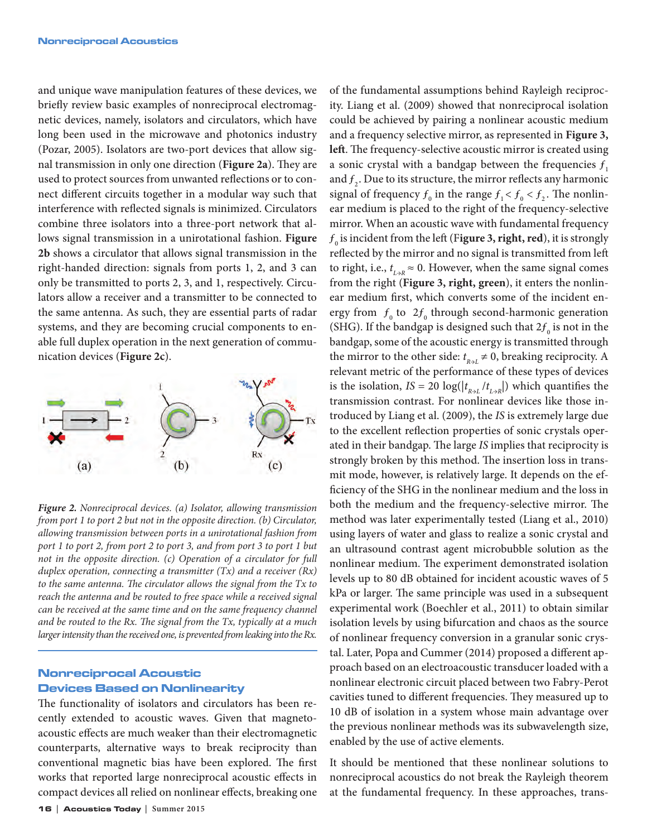and unique wave manipulation features of these devices, we briefly review basic examples of nonreciprocal electromagnetic devices, namely, isolators and circulators, which have long been used in the microwave and photonics industry (Pozar, 2005). Isolators are two-port devices that allow signal transmission in only one direction (**Figure 2a**). They are used to protect sources from unwanted reflections or to connect different circuits together in a modular way such that interference with reflected signals is minimized. Circulators combine three isolators into a three-port network that allows signal transmission in a unirotational fashion. **Figure 2b** shows a circulator that allows signal transmission in the right-handed direction: signals from ports 1, 2, and 3 can only be transmitted to ports 2, 3, and 1, respectively. Circulators allow a receiver and a transmitter to be connected to the same antenna. As such, they are essential parts of radar systems, and they are becoming crucial components to enable full duplex operation in the next generation of communication devices (**Figure 2c**).



*Figure 2. Nonreciprocal devices. (a) Isolator, allowing transmission from port 1 to port 2 but not in the opposite direction. (b) Circulator, allowing transmission between ports in a unirotational fashion from port 1 to port 2, from port 2 to port 3, and from port 3 to port 1 but not in the opposite direction. (c) Operation of a circulator for full duplex operation, connecting a transmitter (Tx) and a receiver (Rx) to the same antenna. The circulator allows the signal from the Tx to reach the antenna and be routed to free space while a received signal can be received at the same time and on the same frequency channel and be routed to the Rx. The signal from the Tx, typically at a much larger intensity than the received one, is prevented from leaking into the Rx.*

# Nonreciprocal Acoustic Devices Based on Nonlinearity

The functionality of isolators and circulators has been recently extended to acoustic waves. Given that magnetoacoustic effects are much weaker than their electromagnetic counterparts, alternative ways to break reciprocity than conventional magnetic bias have been explored. The first works that reported large nonreciprocal acoustic effects in compact devices all relied on nonlinear effects, breaking one

of the fundamental assumptions behind Rayleigh reciprocity. Liang et al. (2009) showed that nonreciprocal isolation could be achieved by pairing a nonlinear acoustic medium and a frequency selective mirror, as represented in **Figure 3, left**. The frequency-selective acoustic mirror is created using a sonic crystal with a bandgap between the frequencies  $f_1$ and  $f_2$ . Due to its structure, the mirror reflects any harmonic signal of frequency  $f_0$  in the range  $f_1 < f_0 < f_2$ . The nonlinear medium is placed to the right of the frequency-selective mirror. When an acoustic wave with fundamental frequency  $f<sub>o</sub>$  is incident from the left (Figure 3, right, red), it is strongly reflected by the mirror and no signal is transmitted from left to right, i.e.,  $t_{L\rightarrow R} \approx 0$ . However, when the same signal comes from the right (**Figure 3, right, green**), it enters the nonlinear medium first, which converts some of the incident energy from  $f_0$  to  $2f_0$  through second-harmonic generation (SHG). If the bandgap is designed such that  $2f_{\scriptscriptstyle 0}$  is not in the bandgap, some of the acoustic energy is transmitted through the mirror to the other side:  $t_{R \rightarrow L} \neq 0$ , breaking reciprocity. A relevant metric of the performance of these types of devices is the isolation,  $IS = 20 \log(|t_{R \to L}/t_{L \to R}|)$  which quantifies the transmission contrast. For nonlinear devices like those introduced by Liang et al. (2009), the *IS* is extremely large due to the excellent reflection properties of sonic crystals operated in their bandgap. The large *IS* implies that reciprocity is strongly broken by this method. The insertion loss in transmit mode, however, is relatively large. It depends on the efficiency of the SHG in the nonlinear medium and the loss in both the medium and the frequency-selective mirror. The method was later experimentally tested (Liang et al., 2010) using layers of water and glass to realize a sonic crystal and an ultrasound contrast agent microbubble solution as the nonlinear medium. The experiment demonstrated isolation levels up to 80 dB obtained for incident acoustic waves of 5 kPa or larger. The same principle was used in a subsequent experimental work (Boechler et al., 2011) to obtain similar isolation levels by using bifurcation and chaos as the source of nonlinear frequency conversion in a granular sonic crystal. Later, Popa and Cummer (2014) proposed a different approach based on an electroacoustic transducer loaded with a nonlinear electronic circuit placed between two Fabry-Perot cavities tuned to different frequencies. They measured up to 10 dB of isolation in a system whose main advantage over the previous nonlinear methods was its subwavelength size, enabled by the use of active elements.

It should be mentioned that these nonlinear solutions to nonreciprocal acoustics do not break the Rayleigh theorem at the fundamental frequency. In these approaches, trans-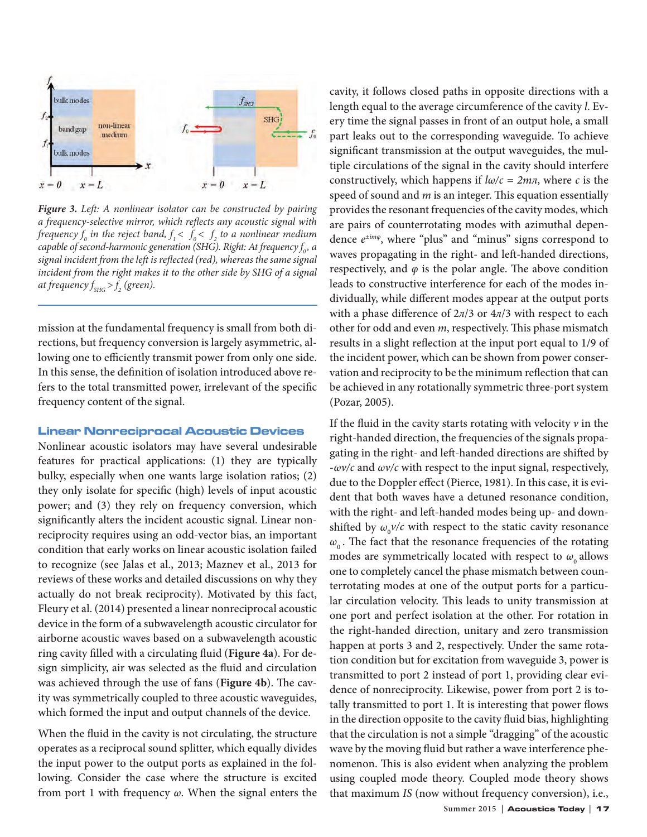

*Figure 3. Left: A nonlinear isolator can be constructed by pairing a frequency-selective mirror, which reflects any acoustic signal with*  frequency  $f_o$  in the reject band,  $f_{\scriptscriptstyle{1}} < f_o < f_{\scriptscriptstyle{2}}$  to a nonlinear medium *capable of second-harmonic generation (SHG). Right: At frequency f<sub>0</sub>, a signal incident from the left is reflected (red), whereas the same signal incident from the right makes it to the other side by SHG of a signal at frequency*  $f_{\rm SHG}$  >  $f_{\rm 2}$  (green).

mission at the fundamental frequency is small from both directions, but frequency conversion is largely asymmetric, allowing one to efficiently transmit power from only one side. In this sense, the definition of isolation introduced above refers to the total transmitted power, irrelevant of the specific frequency content of the signal.

#### Linear Nonreciprocal Acoustic Devices

Nonlinear acoustic isolators may have several undesirable features for practical applications: (1) they are typically bulky, especially when one wants large isolation ratios; (2) they only isolate for specific (high) levels of input acoustic power; and (3) they rely on frequency conversion, which significantly alters the incident acoustic signal. Linear nonreciprocity requires using an odd-vector bias, an important condition that early works on linear acoustic isolation failed to recognize (see Jalas et al., 2013; Maznev et al., 2013 for reviews of these works and detailed discussions on why they actually do not break reciprocity). Motivated by this fact, Fleury et al. (2014) presented a linear nonreciprocal acoustic device in the form of a subwavelength acoustic circulator for airborne acoustic waves based on a subwavelength acoustic ring cavity filled with a circulating fluid (**Figure 4a**). For design simplicity, air was selected as the fluid and circulation was achieved through the use of fans (**Figure 4b**). The cavity was symmetrically coupled to three acoustic waveguides, which formed the input and output channels of the device.

When the fluid in the cavity is not circulating, the structure operates as a reciprocal sound splitter, which equally divides the input power to the output ports as explained in the following. Consider the case where the structure is excited from port 1 with frequency *ω*. When the signal enters the

cavity, it follows closed paths in opposite directions with a length equal to the average circumference of the cavity *l*. Every time the signal passes in front of an output hole, a small part leaks out to the corresponding waveguide. To achieve significant transmission at the output waveguides, the multiple circulations of the signal in the cavity should interfere constructively, which happens if *lω/c = 2mл*, where *c* is the speed of sound and *m* is an integer. This equation essentially provides the resonant frequencies of the cavity modes, which are pairs of counterrotating modes with azimuthal dependence *е±imφ*, where "plus" and "minus" signs correspond to waves propagating in the right- and left-handed directions, respectively, and  $\varphi$  is the polar angle. The above condition leads to constructive interference for each of the modes individually, while different modes appear at the output ports with a phase difference of 2*л*/3 or 4*л*/3 with respect to each other for odd and even *m*, respectively. This phase mismatch results in a slight reflection at the input port equal to 1/9 of the incident power, which can be shown from power conservation and reciprocity to be the minimum reflection that can be achieved in any rotationally symmetric three-port system (Pozar, 2005).

If the fluid in the cavity starts rotating with velocity  $\nu$  in the right-handed direction, the frequencies of the signals propagating in the right- and left-handed directions are shifted by -*ωv/c* and *ωv/c* with respect to the input signal, respectively, due to the Doppler effect (Pierce, 1981). In this case, it is evident that both waves have a detuned resonance condition, with the right- and left-handed modes being up- and downshifted by  $\omega_{0}v/c$  with respect to the static cavity resonance  $\omega$ <sub>0</sub>. The fact that the resonance frequencies of the rotating modes are symmetrically located with respect to  $\omega_0$  allows one to completely cancel the phase mismatch between counterrotating modes at one of the output ports for a particular circulation velocity. This leads to unity transmission at one port and perfect isolation at the other. For rotation in the right-handed direction, unitary and zero transmission happen at ports 3 and 2, respectively. Under the same rotation condition but for excitation from waveguide 3, power is transmitted to port 2 instead of port 1, providing clear evidence of nonreciprocity. Likewise, power from port 2 is totally transmitted to port 1. It is interesting that power flows in the direction opposite to the cavity fluid bias, highlighting that the circulation is not a simple "dragging" of the acoustic wave by the moving fluid but rather a wave interference phenomenon. This is also evident when analyzing the problem using coupled mode theory. Coupled mode theory shows that maximum *IS* (now without frequency conversion), i.e.,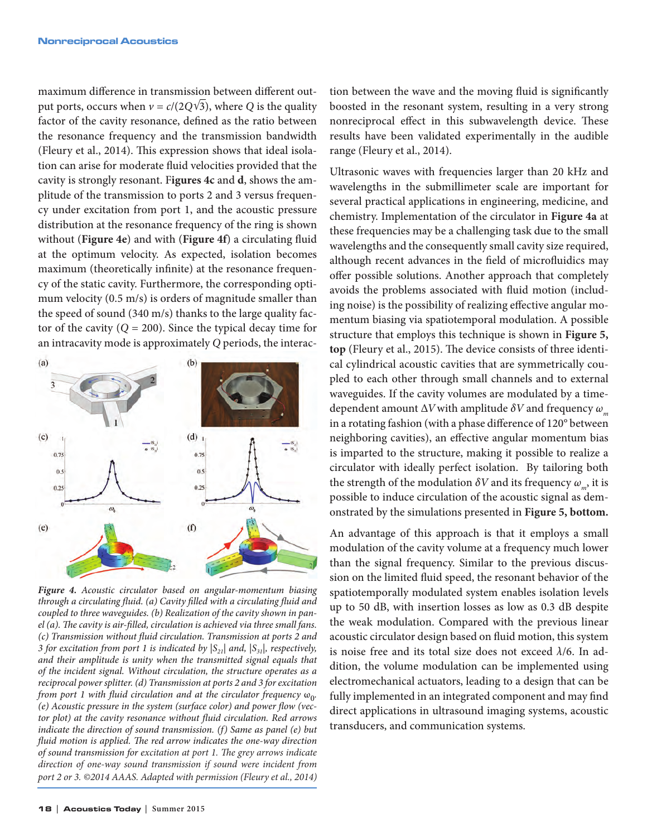maximum difference in transmission between different output ports, occurs when  $v = c/(2Q\sqrt{3})$ , where *Q* is the quality factor of the cavity resonance, defined as the ratio between the resonance frequency and the transmission bandwidth (Fleury et al., 2014). This expression shows that ideal isolation can arise for moderate fluid velocities provided that the cavity is strongly resonant. F**igures 4c** and **d**, shows the amplitude of the transmission to ports 2 and 3 versus frequency under excitation from port 1, and the acoustic pressure distribution at the resonance frequency of the ring is shown without (**Figure 4e**) and with (**Figure 4f**) a circulating fluid at the optimum velocity. As expected, isolation becomes maximum (theoretically infinite) at the resonance frequency of the static cavity. Furthermore, the corresponding optimum velocity (0.5 m/s) is orders of magnitude smaller than the speed of sound (340 m/s) thanks to the large quality factor of the cavity  $(Q = 200)$ . Since the typical decay time for an intracavity mode is approximately *Q* periods, the interac-



*Figure 4. Acoustic circulator based on angular-momentum biasing through a circulating fluid. (a) Cavity filled with a circulating fluid and coupled to three waveguides. (b) Realization of the cavity shown in panel (a). The cavity is air-filled, circulation is achieved via three small fans. (c) Transmission without fluid circulation. Transmission at ports 2 and 3 for excitation from port 1 is indicated by*  $|S_{21}|$  *and*,  $|S_{31}|$ *, respectively, and their amplitude is unity when the transmitted signal equals that of the incident signal. Without circulation, the structure operates as a reciprocal power splitter. (d) Transmission at ports 2 and 3 for excitation from port 1 with fluid circulation and at the circulator frequency*  $\omega_{0}$ . *(e) Acoustic pressure in the system (surface color) and power flow (vector plot) at the cavity resonance without fluid circulation. Red arrows indicate the direction of sound transmission. (f) Same as panel (e) but fluid motion is applied. The red arrow indicates the one-way direction of sound transmission for excitation at port 1. The grey arrows indicate direction of one-way sound transmission if sound were incident from port 2 or 3. ©2014 AAAS. Adapted with permission (Fleury et al., 2014)*

tion between the wave and the moving fluid is significantly boosted in the resonant system, resulting in a very strong nonreciprocal effect in this subwavelength device. These results have been validated experimentally in the audible range (Fleury et al., 2014).

Ultrasonic waves with frequencies larger than 20 kHz and wavelengths in the submillimeter scale are important for several practical applications in engineering, medicine, and chemistry. Implementation of the circulator in **Figure 4a** at these frequencies may be a challenging task due to the small wavelengths and the consequently small cavity size required, although recent advances in the field of microfluidics may offer possible solutions. Another approach that completely avoids the problems associated with fluid motion (including noise) is the possibility of realizing effective angular momentum biasing via spatiotemporal modulation. A possible structure that employs this technique is shown in **Figure 5, top** (Fleury et al., 2015). The device consists of three identical cylindrical acoustic cavities that are symmetrically coupled to each other through small channels and to external waveguides. If the cavity volumes are modulated by a timedependent amount ∆*V* with amplitude *δV* and frequency  $ω_π$ in a rotating fashion (with a phase difference of 120° between neighboring cavities), an effective angular momentum bias is imparted to the structure, making it possible to realize a circulator with ideally perfect isolation. By tailoring both the strength of the modulation  $\delta V$  and its frequency  $\omega_{\mu}$ , it is possible to induce circulation of the acoustic signal as demonstrated by the simulations presented in **Figure 5, bottom.**

An advantage of this approach is that it employs a small modulation of the cavity volume at a frequency much lower than the signal frequency. Similar to the previous discussion on the limited fluid speed, the resonant behavior of the spatiotemporally modulated system enables isolation levels up to 50 dB, with insertion losses as low as 0.3 dB despite the weak modulation. Compared with the previous linear acoustic circulator design based on fluid motion, this system is noise free and its total size does not exceed *λ*/6. In addition, the volume modulation can be implemented using electromechanical actuators, leading to a design that can be fully implemented in an integrated component and may find direct applications in ultrasound imaging systems, acoustic transducers, and communication systems.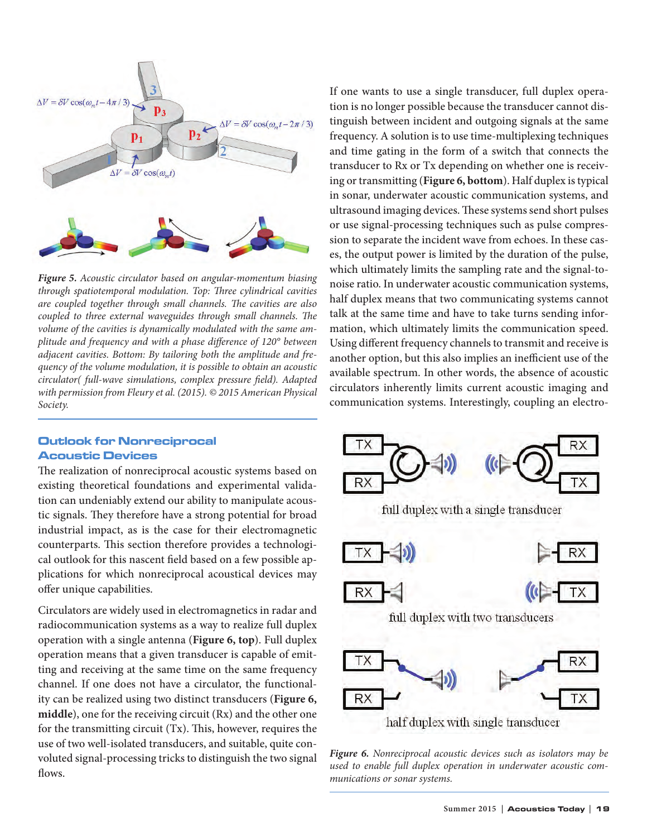

*Figure 5. Acoustic circulator based on angular-momentum biasing through spatiotemporal modulation. Top: Three cylindrical cavities are coupled together through small channels. The cavities are also coupled to three external waveguides through small channels. The volume of the cavities is dynamically modulated with the same amplitude and frequency and with a phase difference of 120° between adjacent cavities. Bottom: By tailoring both the amplitude and frequency of the volume modulation, it is possible to obtain an acoustic circulator( full-wave simulations, complex pressure field). Adapted with permission from Fleury et al. (2015). © 2015 American Physical Society.*

# Outlook for Nonreciprocal Acoustic Devices

The realization of nonreciprocal acoustic systems based on existing theoretical foundations and experimental validation can undeniably extend our ability to manipulate acoustic signals. They therefore have a strong potential for broad industrial impact, as is the case for their electromagnetic counterparts. This section therefore provides a technological outlook for this nascent field based on a few possible applications for which nonreciprocal acoustical devices may offer unique capabilities.

Circulators are widely used in electromagnetics in radar and radiocommunication systems as a way to realize full duplex operation with a single antenna (**Figure 6, top**). Full duplex operation means that a given transducer is capable of emitting and receiving at the same time on the same frequency channel. If one does not have a circulator, the functionality can be realized using two distinct transducers (**Figure 6, middle**), one for the receiving circuit (Rx) and the other one for the transmitting circuit (Tx). This, however, requires the use of two well-isolated transducers, and suitable, quite convoluted signal-processing tricks to distinguish the two signal flows.

If one wants to use a single transducer, full duplex operation is no longer possible because the transducer cannot distinguish between incident and outgoing signals at the same frequency. A solution is to use time-multiplexing techniques and time gating in the form of a switch that connects the transducer to Rx or Tx depending on whether one is receiving or transmitting (**Figure 6, bottom**). Half duplex is typical in sonar, underwater acoustic communication systems, and ultrasound imaging devices. These systems send short pulses or use signal-processing techniques such as pulse compression to separate the incident wave from echoes. In these cases, the output power is limited by the duration of the pulse, which ultimately limits the sampling rate and the signal-tonoise ratio. In underwater acoustic communication systems, half duplex means that two communicating systems cannot talk at the same time and have to take turns sending information, which ultimately limits the communication speed. Using different frequency channels to transmit and receive is another option, but this also implies an inefficient use of the available spectrum. In other words, the absence of acoustic circulators inherently limits current acoustic imaging and communication systems. Interestingly, coupling an electro-



*Figure 6. Nonreciprocal acoustic devices such as isolators may be used to enable full duplex operation in underwater acoustic communications or sonar systems.*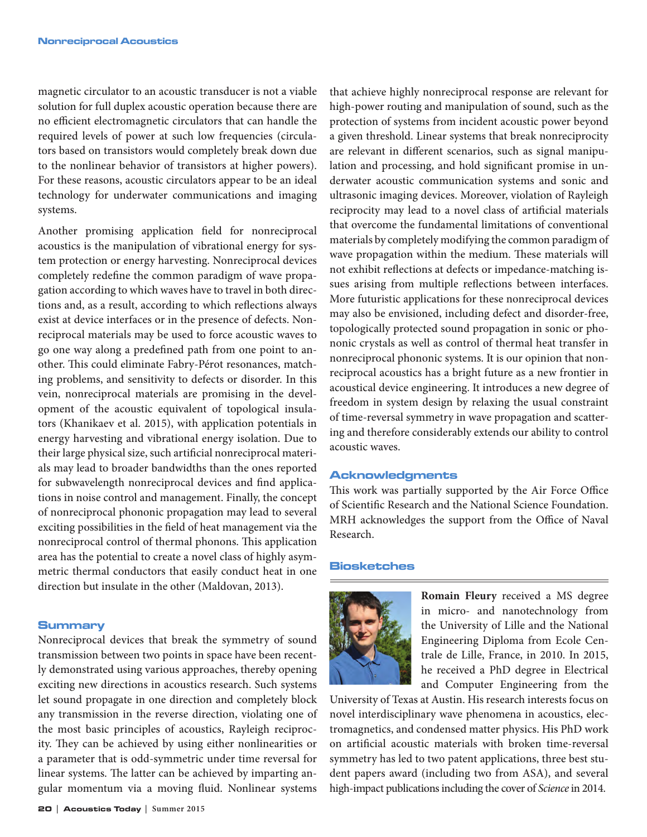magnetic circulator to an acoustic transducer is not a viable solution for full duplex acoustic operation because there are no efficient electromagnetic circulators that can handle the required levels of power at such low frequencies (circulators based on transistors would completely break down due to the nonlinear behavior of transistors at higher powers). For these reasons, acoustic circulators appear to be an ideal technology for underwater communications and imaging systems.

Another promising application field for nonreciprocal acoustics is the manipulation of vibrational energy for system protection or energy harvesting. Nonreciprocal devices completely redefine the common paradigm of wave propagation according to which waves have to travel in both directions and, as a result, according to which reflections always exist at device interfaces or in the presence of defects. Nonreciprocal materials may be used to force acoustic waves to go one way along a predefined path from one point to another. This could eliminate Fabry-Pérot resonances, matching problems, and sensitivity to defects or disorder. In this vein, nonreciprocal materials are promising in the development of the acoustic equivalent of topological insulators (Khanikaev et al. 2015), with application potentials in energy harvesting and vibrational energy isolation. Due to their large physical size, such artificial nonreciprocal materials may lead to broader bandwidths than the ones reported for subwavelength nonreciprocal devices and find applications in noise control and management. Finally, the concept of nonreciprocal phononic propagation may lead to several exciting possibilities in the field of heat management via the nonreciprocal control of thermal phonons. This application area has the potential to create a novel class of highly asymmetric thermal conductors that easily conduct heat in one direction but insulate in the other (Maldovan, 2013).

#### **Summary**

Nonreciprocal devices that break the symmetry of sound transmission between two points in space have been recently demonstrated using various approaches, thereby opening exciting new directions in acoustics research. Such systems let sound propagate in one direction and completely block any transmission in the reverse direction, violating one of the most basic principles of acoustics, Rayleigh reciprocity. They can be achieved by using either nonlinearities or a parameter that is odd-symmetric under time reversal for linear systems. The latter can be achieved by imparting angular momentum via a moving fluid. Nonlinear systems

that achieve highly nonreciprocal response are relevant for high-power routing and manipulation of sound, such as the protection of systems from incident acoustic power beyond a given threshold. Linear systems that break nonreciprocity are relevant in different scenarios, such as signal manipulation and processing, and hold significant promise in underwater acoustic communication systems and sonic and ultrasonic imaging devices. Moreover, violation of Rayleigh reciprocity may lead to a novel class of artificial materials that overcome the fundamental limitations of conventional materials by completely modifying the common paradigm of wave propagation within the medium. These materials will not exhibit reflections at defects or impedance-matching issues arising from multiple reflections between interfaces. More futuristic applications for these nonreciprocal devices may also be envisioned, including defect and disorder-free, topologically protected sound propagation in sonic or phononic crystals as well as control of thermal heat transfer in nonreciprocal phononic systems. It is our opinion that nonreciprocal acoustics has a bright future as a new frontier in acoustical device engineering. It introduces a new degree of freedom in system design by relaxing the usual constraint of time-reversal symmetry in wave propagation and scattering and therefore considerably extends our ability to control acoustic waves.

## Acknowledgments

This work was partially supported by the Air Force Office of Scientific Research and the National Science Foundation. MRH acknowledges the support from the Office of Naval Research.

#### Biosketches



**Romain Fleury** received a MS degree in micro- and nanotechnology from the University of Lille and the National Engineering Diploma from Ecole Centrale de Lille, France, in 2010. In 2015, he received a PhD degree in Electrical and Computer Engineering from the

University of Texas at Austin. His research interests focus on novel interdisciplinary wave phenomena in acoustics, electromagnetics, and condensed matter physics. His PhD work on artificial acoustic materials with broken time-reversal symmetry has led to two patent applications, three best student papers award (including two from ASA), and several high-impact publications including the cover of *Science* in 2014.